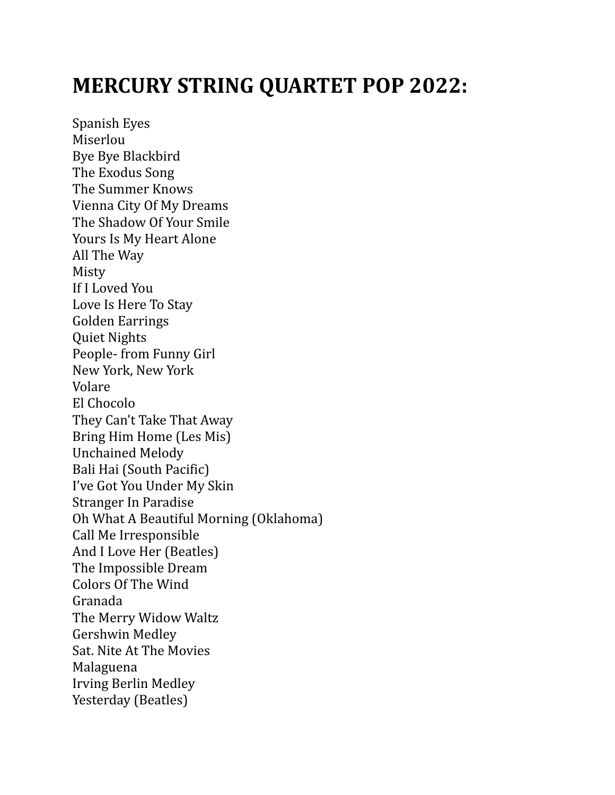## **MERCURY STRING QUARTET POP 2022:**

Spanish Eyes Miserlou Bye Bye Blackbird The Exodus Song The Summer Knows Vienna City Of My Dreams The Shadow Of Your Smile Yours Is My Heart Alone All The Way Misty If I Loved You Love Is Here To Stay Golden Earrings Quiet Nights People- from Funny Girl New York, New York Volare El Chocolo They Can't Take That Away Bring Him Home (Les Mis) Unchained Melody Bali Hai (South Pacific) I've Got You Under My Skin Stranger In Paradise Oh What A Beautiful Morning (Oklahoma) Call Me Irresponsible And I Love Her (Beatles) The Impossible Dream Colors Of The Wind Granada The Merry Widow Waltz Gershwin Medley Sat. Nite At The Movies Malaguena Irving Berlin Medley Yesterday (Beatles)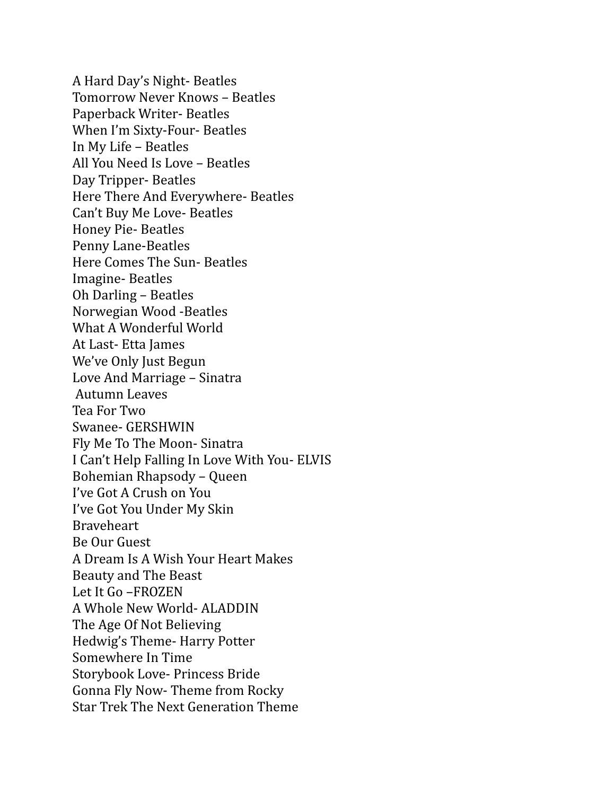A Hard Day's Night- Beatles Tomorrow Never Knows – Beatles Paperback Writer- Beatles When I'm Sixty-Four- Beatles In My Life – Beatles All You Need Is Love – Beatles Day Tripper- Beatles Here There And Everywhere- Beatles Can't Buy Me Love- Beatles Honey Pie- Beatles Penny Lane-Beatles Here Comes The Sun- Beatles Imagine- Beatles Oh Darling – Beatles Norwegian Wood -Beatles What A Wonderful World At Last- Etta James We've Only Just Begun Love And Marriage – Sinatra Autumn Leaves Tea For Two Swanee- GERSHWIN Fly Me To The Moon- Sinatra I Can't Help Falling In Love With You- ELVIS Bohemian Rhapsody – Queen I've Got A Crush on You I've Got You Under My Skin Braveheart Be Our Guest A Dream Is A Wish Your Heart Makes Beauty and The Beast Let It Go –FROZEN A Whole New World- ALADDIN The Age Of Not Believing Hedwig's Theme- Harry Potter Somewhere In Time Storybook Love- Princess Bride Gonna Fly Now- Theme from Rocky Star Trek The Next Generation Theme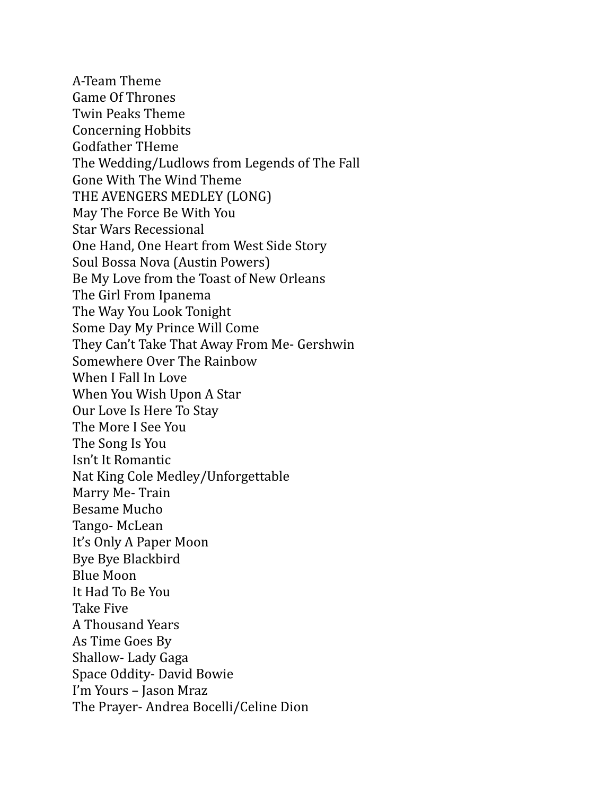A-Team Theme Game Of Thrones Twin Peaks Theme Concerning Hobbits Godfather THeme The Wedding/Ludlows from Legends of The Fall Gone With The Wind Theme THE AVENGERS MEDLEY (LONG) May The Force Be With You Star Wars Recessional One Hand, One Heart from West Side Story Soul Bossa Nova (Austin Powers) Be My Love from the Toast of New Orleans The Girl From Ipanema The Way You Look Tonight Some Day My Prince Will Come They Can't Take That Away From Me- Gershwin Somewhere Over The Rainbow When I Fall In Love When You Wish Upon A Star Our Love Is Here To Stay The More I See You The Song Is You Isn't It Romantic Nat King Cole Medley/Unforgettable Marry Me- Train Besame Mucho Tango- McLean It's Only A Paper Moon Bye Bye Blackbird Blue Moon It Had To Be You Take Five A Thousand Years As Time Goes By Shallow- Lady Gaga Space Oddity- David Bowie I'm Yours - Jason Mraz The Prayer- Andrea Bocelli/Celine Dion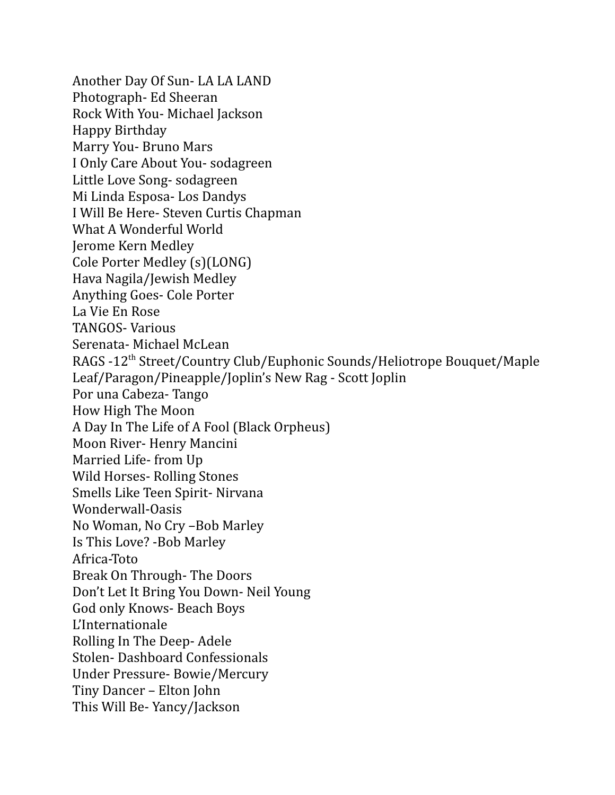Another Day Of Sun- LA LA LAND Photograph- Ed Sheeran Rock With You- Michael Jackson Happy Birthday Marry You- Bruno Mars I Only Care About You- sodagreen Little Love Song- sodagreen Mi Linda Esposa- Los Dandys I Will Be Here- Steven Curtis Chapman What A Wonderful World Jerome Kern Medley Cole Porter Medley (s)(LONG) Hava Nagila/Jewish Medley Anything Goes- Cole Porter La Vie En Rose TANGOS- Various Serenata- Michael McLean RAGS -12<sup>th</sup> Street/Country Club/Euphonic Sounds/Heliotrope Bouquet/Maple Leaf/Paragon/Pineapple/Joplin's New Rag - Scott Joplin Por una Cabeza- Tango How High The Moon A Day In The Life of A Fool (Black Orpheus) Moon River- Henry Mancini Married Life- from Up Wild Horses- Rolling Stones Smells Like Teen Spirit- Nirvana Wonderwall-Oasis No Woman, No Cry –Bob Marley Is This Love? -Bob Marley Africa-Toto Break On Through- The Doors Don't Let It Bring You Down- Neil Young God only Knows- Beach Boys L'Internationale Rolling In The Deep- Adele Stolen- Dashboard Confessionals Under Pressure- Bowie/Mercury Tiny Dancer – Elton John This Will Be- Yancy/Jackson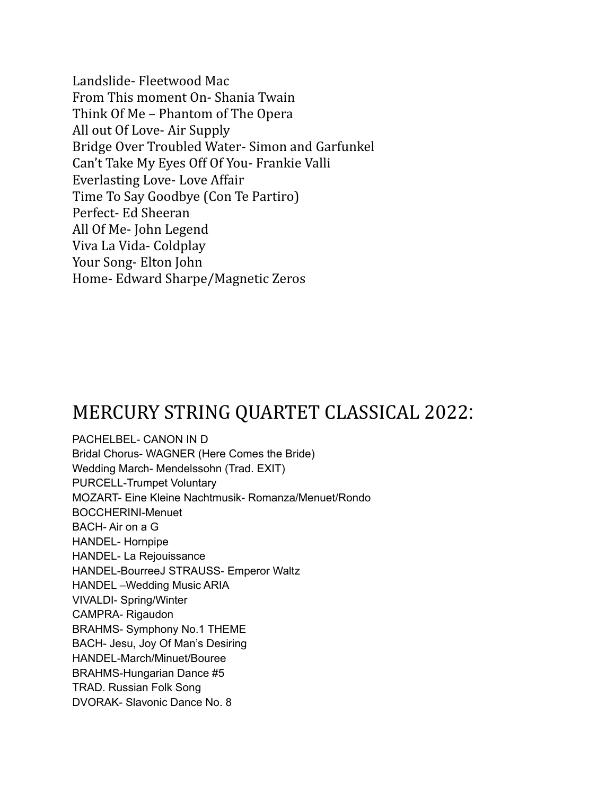Landslide- Fleetwood Mac From This moment On- Shania Twain Think Of Me – Phantom of The Opera All out Of Love- Air Supply Bridge Over Troubled Water- Simon and Garfunkel Can't Take My Eyes Off Of You- Frankie Valli Everlasting Love- Love Affair Time To Say Goodbye (Con Te Partiro) Perfect- Ed Sheeran All Of Me- John Legend Viva La Vida- Coldplay Your Song- Elton John Home- Edward Sharpe/Magnetic Zeros

## MERCURY STRING QUARTET CLASSICAL 2022:

PACHELBEL- CANON IN D Bridal Chorus- WAGNER (Here Comes the Bride) Wedding March- Mendelssohn (Trad. EXIT) PURCELL-Trumpet Voluntary MOZART- Eine Kleine Nachtmusik- Romanza/Menuet/Rondo BOCCHERINI-Menuet BACH- Air on a G HANDEL- Hornpipe HANDEL- La Rejouissance HANDEL-BourreeJ STRAUSS- Emperor Waltz HANDEL –Wedding Music ARIA VIVALDI- Spring/Winter CAMPRA- Rigaudon BRAHMS- Symphony No.1 THEME BACH- Jesu, Joy Of Man's Desiring HANDEL-March/Minuet/Bouree BRAHMS-Hungarian Dance #5 TRAD. Russian Folk Song DVORAK- Slavonic Dance No. 8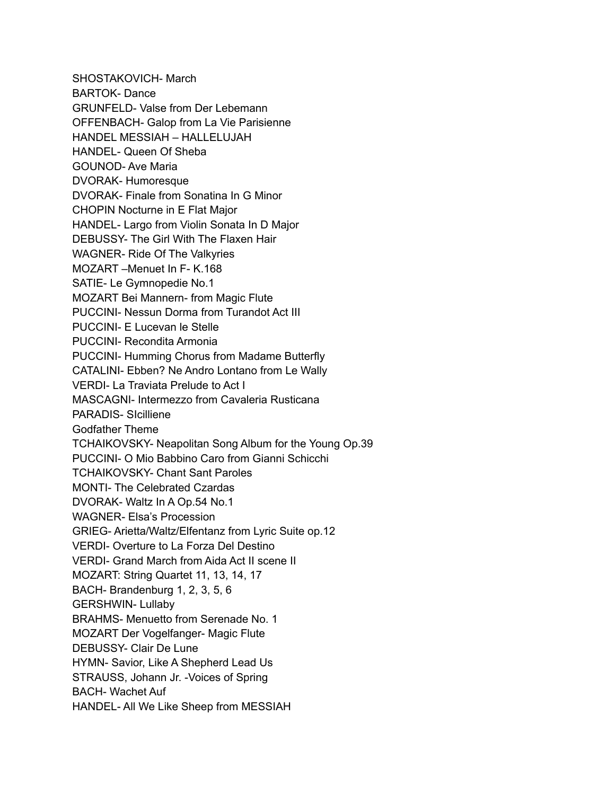SHOSTAKOVICH- March BARTOK- Dance GRUNFELD- Valse from Der Lebemann OFFENBACH- Galop from La Vie Parisienne HANDEL MESSIAH – HALLELUJAH HANDEL- Queen Of Sheba GOUNOD- Ave Maria DVORAK- Humoresque DVORAK- Finale from Sonatina In G Minor CHOPIN Nocturne in E Flat Major HANDEL- Largo from Violin Sonata In D Major DEBUSSY- The Girl With The Flaxen Hair WAGNER- Ride Of The Valkyries MOZART –Menuet In F- K.168 SATIE- Le Gymnopedie No.1 MOZART Bei Mannern- from Magic Flute PUCCINI- Nessun Dorma from Turandot Act III PUCCINI- E Lucevan le Stelle PUCCINI- Recondita Armonia PUCCINI- Humming Chorus from Madame Butterfly CATALINI- Ebben? Ne Andro Lontano from Le Wally VERDI- La Traviata Prelude to Act I MASCAGNI- Intermezzo from Cavaleria Rusticana PARADIS- SIcilliene Godfather Theme TCHAIKOVSKY- Neapolitan Song Album for the Young Op.39 PUCCINI- O Mio Babbino Caro from Gianni Schicchi TCHAIKOVSKY- Chant Sant Paroles MONTI- The Celebrated Czardas DVORAK- Waltz In A Op.54 No.1 WAGNER- Elsa's Procession GRIEG- Arietta/Waltz/Elfentanz from Lyric Suite op.12 VERDI- Overture to La Forza Del Destino VERDI- Grand March from Aida Act II scene II MOZART: String Quartet 11, 13, 14, 17 BACH- Brandenburg 1, 2, 3, 5, 6 GERSHWIN- Lullaby BRAHMS- Menuetto from Serenade No. 1 MOZART Der Vogelfanger- Magic Flute DEBUSSY- Clair De Lune HYMN- Savior, Like A Shepherd Lead Us STRAUSS, Johann Jr. -Voices of Spring BACH- Wachet Auf HANDEL- All We Like Sheep from MESSIAH